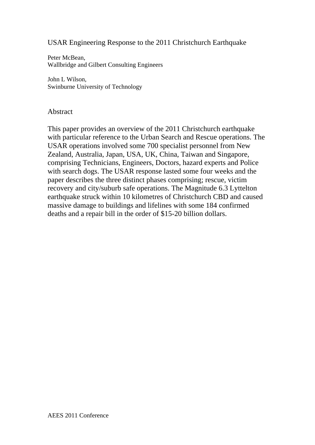## USAR Engineering Response to the 2011 Christchurch Earthquake

Peter McBean, Wallbridge and Gilbert Consulting Engineers

John L Wilson, Swinburne University of Technology

### Abstract

This paper provides an overview of the 2011 Christchurch earthquake with particular reference to the Urban Search and Rescue operations. The USAR operations involved some 700 specialist personnel from New Zealand, Australia, Japan, USA, UK, China, Taiwan and Singapore, comprising Technicians, Engineers, Doctors, hazard experts and Police with search dogs. The USAR response lasted some four weeks and the paper describes the three distinct phases comprising; rescue, victim recovery and city/suburb safe operations. The Magnitude 6.3 Lyttelton earthquake struck within 10 kilometres of Christchurch CBD and caused massive damage to buildings and lifelines with some 184 confirmed deaths and a repair bill in the order of \$15-20 billion dollars.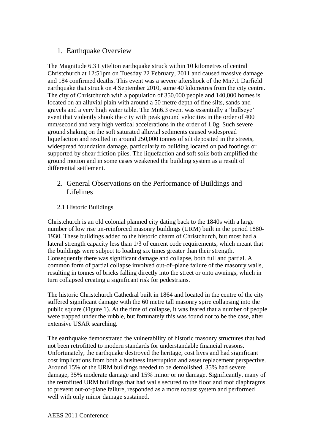## 1. Earthquake Overview

The Magnitude 6.3 Lyttelton earthquake struck within 10 kilometres of central Christchurch at 12:51pm on Tuesday 22 February, 2011 and caused massive damage and 184 confirmed deaths. This event was a severe aftershock of the Mn7.1 Darfield earthquake that struck on 4 September 2010, some 40 kilometres from the city centre. The city of Christchurch with a population of 350,000 people and 140,000 homes is located on an alluvial plain with around a 50 metre depth of fine silts, sands and gravels and a very high water table. The Mn6.3 event was essentially a 'bullseye' event that violently shook the city with peak ground velocities in the order of 400 mm/second and very high vertical accelerations in the order of 1.0g. Such severe ground shaking on the soft saturated alluvial sediments caused widespread liquefaction and resulted in around 250,000 tonnes of silt deposited in the streets, widespread foundation damage, particularly to building located on pad footings or supported by shear friction piles. The liquefaction and soft soils both amplified the ground motion and in some cases weakened the building system as a result of differential settlement.

- 2. General Observations on the Performance of Buildings and **Lifelines**
- 2.1 Historic Buildings

Christchurch is an old colonial planned city dating back to the 1840s with a large number of low rise un-reinforced masonry buildings (URM) built in the period 1880- 1930. These buildings added to the historic charm of Christchurch, but most had a lateral strength capacity less than 1/3 of current code requirements, which meant that the buildings were subject to loading six times greater than their strength. Consequently there was significant damage and collapse, both full and partial. A common form of partial collapse involved out-of–plane failure of the masonry walls, resulting in tonnes of bricks falling directly into the street or onto awnings, which in turn collapsed creating a significant risk for pedestrians.

The historic Christchurch Cathedral built in 1864 and located in the centre of the city suffered significant damage with the 60 metre tall masonry spire collapsing into the public square (Figure 1). At the time of collapse, it was feared that a number of people were trapped under the rubble, but fortunately this was found not to be the case, after extensive USAR searching.

The earthquake demonstrated the vulnerability of historic masonry structures that had not been retrofitted to modern standards for understandable financial reasons. Unfortunately, the earthquake destroyed the heritage, cost lives and had significant cost implications from both a business interruption and asset replacement perspective. Around 15% of the URM buildings needed to be demolished, 35% had severe damage, 35% moderate damage and 15% minor or no damage. Significantly, many of the retrofitted URM buildings that had walls secured to the floor and roof diaphragms to prevent out-of-plane failure, responded as a more robust system and performed well with only minor damage sustained.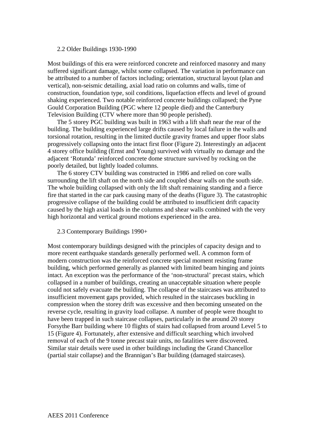#### 2.2 Older Buildings 1930-1990

Most buildings of this era were reinforced concrete and reinforced masonry and many suffered significant damage, whilst some collapsed. The variation in performance can be attributed to a number of factors including; orientation, structural layout (plan and vertical), non-seismic detailing, axial load ratio on columns and walls, time of construction, foundation type, soil conditions, liquefaction effects and level of ground shaking experienced. Two notable reinforced concrete buildings collapsed; the Pyne Gould Corporation Building (PGC where 12 people died) and the Canterbury Television Building (CTV where more than 90 people perished).

The 5 storey PGC building was built in 1963 with a lift shaft near the rear of the building. The building experienced large drifts caused by local failure in the walls and torsional rotation, resulting in the limited ductile gravity frames and upper floor slabs progressively collapsing onto the intact first floor (Figure 2). Interestingly an adjacent 4 storey office building (Ernst and Young) survived with virtually no damage and the adjacent 'Rotunda' reinforced concrete dome structure survived by rocking on the poorly detailed, but lightly loaded columns.

The 6 storey CTV building was constructed in 1986 and relied on core walls surrounding the lift shaft on the north side and coupled shear walls on the south side. The whole building collapsed with only the lift shaft remaining standing and a fierce fire that started in the car park causing many of the deaths (Figure 3). The catastrophic progressive collapse of the building could be attributed to insufficient drift capacity caused by the high axial loads in the columns and shear walls combined with the very high horizontal and vertical ground motions experienced in the area.

#### 2.3 Contemporary Buildings 1990+

Most contemporary buildings designed with the principles of capacity design and to more recent earthquake standards generally performed well. A common form of modern construction was the reinforced concrete special moment resisting frame building, which performed generally as planned with limited beam hinging and joints intact. An exception was the performance of the 'non-structural' precast stairs, which collapsed in a number of buildings, creating an unacceptable situation where people could not safely evacuate the building. The collapse of the staircases was attributed to insufficient movement gaps provided, which resulted in the staircases buckling in compression when the storey drift was excessive and then becoming unseated on the reverse cycle, resulting in gravity load collapse. A number of people were thought to have been trapped in such staircase collapses, particularly in the around 20 storey Forsythe Barr building where 10 flights of stairs had collapsed from around Level 5 to 15 (Figure 4). Fortunately, after extensive and difficult searching which involved removal of each of the 9 tonne precast stair units, no fatalities were discovered. Similar stair details were used in other buildings including the Grand Chancellor (partial stair collapse) and the Brannigan's Bar building (damaged staircases).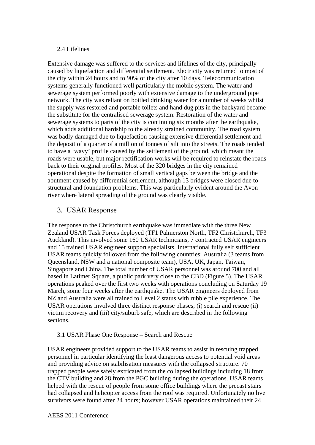### 2.4 Lifelines

Extensive damage was suffered to the services and lifelines of the city, principally caused by liquefaction and differential settlement. Electricity was returned to most of the city within 24 hours and to 90% of the city after 10 days. Telecommunication systems generally functioned well particularly the mobile system. The water and sewerage system performed poorly with extensive damage to the underground pipe network. The city was reliant on bottled drinking water for a number of weeks whilst the supply was restored and portable toilets and hand dug pits in the backyard became the substitute for the centralised sewerage system. Restoration of the water and sewerage systems to parts of the city is continuing six months after the earthquake, which adds additional hardship to the already strained community. The road system was badly damaged due to liquefaction causing extensive differential settlement and the deposit of a quarter of a million of tonnes of silt into the streets. The roads tended to have a 'wavy' profile caused by the settlement of the ground, which meant the roads were usable, but major rectification works will be required to reinstate the roads back to their original profiles. Most of the 320 bridges in the city remained operational despite the formation of small vertical gaps between the bridge and the abutment caused by differential settlement, although 13 bridges were closed due to structural and foundation problems. This was particularly evident around the Avon river where lateral spreading of the ground was clearly visible.

### 3. USAR Response

The response to the Christchurch earthquake was immediate with the three New Zealand USAR Task Forces deployed (TF1 Palmerston North, TF2 Christchurch, TF3 Auckland). This involved some 160 USAR technicians, 7 contracted USAR engineers and 15 trained USAR engineer support specialists. International fully self sufficient USAR teams quickly followed from the following countries: Australia (3 teams from Queensland, NSW and a national composite team), USA, UK, Japan, Taiwan, Singapore and China. The total number of USAR personnel was around 700 and all based in Latimer Square, a public park very close to the CBD (Figure 5). The USAR operations peaked over the first two weeks with operations concluding on Saturday 19 March, some four weeks after the earthquake. The USAR engineers deployed from NZ and Australia were all trained to Level 2 status with rubble pile experience. The USAR operations involved three distinct response phases; (i) search and rescue (ii) victim recovery and (iii) city/suburb safe, which are described in the following sections.

### 3.1 USAR Phase One Response – Search and Rescue

USAR engineers provided support to the USAR teams to assist in rescuing trapped personnel in particular identifying the least dangerous access to potential void areas and providing advice on stabilisation measures with the collapsed structure. 70 trapped people were safely extricated from the collapsed buildings including 18 from the CTV building and 28 from the PGC building during the operations. USAR teams helped with the rescue of people from some office buildings where the precast stairs had collapsed and helicopter access from the roof was required. Unfortunately no live survivors were found after 24 hours; however USAR operations maintained their 24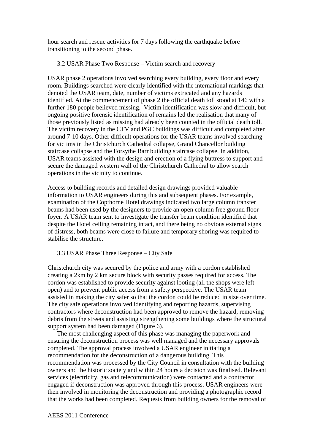hour search and rescue activities for 7 days following the earthquake before transitioning to the second phase.

#### 3.2 USAR Phase Two Response – Victim search and recovery

USAR phase 2 operations involved searching every building, every floor and every room. Buildings searched were clearly identified with the international markings that denoted the USAR team, date, number of victims extricated and any hazards identified. At the commencement of phase 2 the official death toll stood at 146 with a further 180 people believed missing. Victim identification was slow and difficult, but ongoing positive forensic identification of remains led the realisation that many of those previously listed as missing had already been counted in the official death toll. The victim recovery in the CTV and PGC buildings was difficult and completed after around 7-10 days. Other difficult operations for the USAR teams involved searching for victims in the Christchurch Cathedral collapse, Grand Chancellor building staircase collapse and the Forsythe Barr building staircase collapse. In addition, USAR teams assisted with the design and erection of a flying buttress to support and secure the damaged western wall of the Christchurch Cathedral to allow search operations in the vicinity to continue.

Access to building records and detailed design drawings provided valuable information to USAR engineers during this and subsequent phases. For example, examination of the Copthorne Hotel drawings indicated two large column transfer beams had been used by the designers to provide an open column free ground floor foyer. A USAR team sent to investigate the transfer beam condition identified that despite the Hotel ceiling remaining intact, and there being no obvious external signs of distress, both beams were close to failure and temporary shoring was required to stabilise the structure.

3.3 USAR Phase Three Response – City Safe

Christchurch city was secured by the police and army with a cordon established creating a 2km by 2 km secure block with security passes required for access. The cordon was established to provide security against looting (all the shops were left open) and to prevent public access from a safety perspective. The USAR team assisted in making the city safer so that the cordon could be reduced in size over time. The city safe operations involved identifying and reporting hazards, supervising contractors where deconstruction had been approved to remove the hazard, removing debris from the streets and assisting strengthening some buildings where the structural support system had been damaged (Figure 6).

The most challenging aspect of this phase was managing the paperwork and ensuring the deconstruction process was well managed and the necessary approvals completed. The approval process involved a USAR engineer initiating a recommendation for the deconstruction of a dangerous building. This recommendation was processed by the City Council in consultation with the building owners and the historic society and within 24 hours a decision was finalised. Relevant services (electricity, gas and telecommunication) were contacted and a contractor engaged if deconstruction was approved through this process. USAR engineers were then involved in monitoring the deconstruction and providing a photographic record that the works had been completed. Requests from building owners for the removal of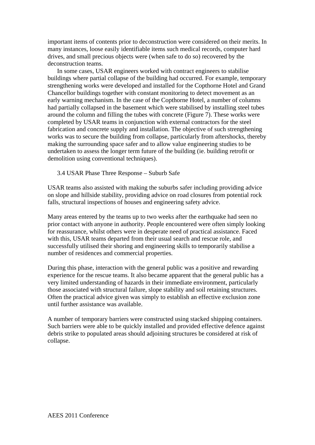important items of contents prior to deconstruction were considered on their merits. In many instances, loose easily identifiable items such medical records, computer hard drives, and small precious objects were (when safe to do so) recovered by the deconstruction teams.

In some cases, USAR engineers worked with contract engineers to stabilise buildings where partial collapse of the building had occurred. For example, temporary strengthening works were developed and installed for the Copthorne Hotel and Grand Chancellor buildings together with constant monitoring to detect movement as an early warning mechanism. In the case of the Copthorne Hotel, a number of columns had partially collapsed in the basement which were stabilised by installing steel tubes around the column and filling the tubes with concrete (Figure 7). These works were completed by USAR teams in conjunction with external contractors for the steel fabrication and concrete supply and installation. The objective of such strengthening works was to secure the building from collapse, particularly from aftershocks, thereby making the surrounding space safer and to allow value engineering studies to be undertaken to assess the longer term future of the building (ie. building retrofit or demolition using conventional techniques).

3.4 USAR Phase Three Response – Suburb Safe

USAR teams also assisted with making the suburbs safer including providing advice on slope and hillside stability, providing advice on road closures from potential rock falls, structural inspections of houses and engineering safety advice.

Many areas entered by the teams up to two weeks after the earthquake had seen no prior contact with anyone in authority. People encountered were often simply looking for reassurance, whilst others were in desperate need of practical assistance. Faced with this, USAR teams departed from their usual search and rescue role, and successfully utilised their shoring and engineering skills to temporarily stabilise a number of residences and commercial properties.

During this phase, interaction with the general public was a positive and rewarding experience for the rescue teams. It also became apparent that the general public has a very limited understanding of hazards in their immediate environment, particularly those associated with structural failure, slope stability and soil retaining structures. Often the practical advice given was simply to establish an effective exclusion zone until further assistance was available.

A number of temporary barriers were constructed using stacked shipping containers. Such barriers were able to be quickly installed and provided effective defence against debris strike to populated areas should adjoining structures be considered at risk of collapse.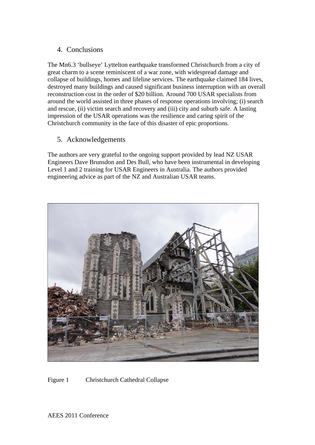## 4. Conclusions

The Mn6.3 'bullseye' Lyttelton earthquake transformed Christchurch from a city of great charm to a scene reminiscent of a war zone, with widespread damage and collapse of buildings, homes and lifeline services. The earthquake claimed 184 lives, destroyed many buildings and caused significant business interruption with an overall reconstruction cost in the order of \$20 billion. Around 700 USAR specialists from around the world assisted in three phases of response operations involving; (i) search and rescue, (ii) victim search and recovery and (iii) city and suburb safe. A lasting impression of the USAR operations was the resilience and caring spirit of the Christchurch community in the face of this disaster of epic proportions.

## 5. Acknowledgements

The authors are very grateful to the ongoing support provided by lead NZ USAR Engineers Dave Brunsdon and Des Bull, who have been instrumental in developing Level 1 and 2 training for USAR Engineers in Australia. The authors provided engineering advice as part of the NZ and Australian USAR teams.



Figure 1 Christchurch Cathedral Collapse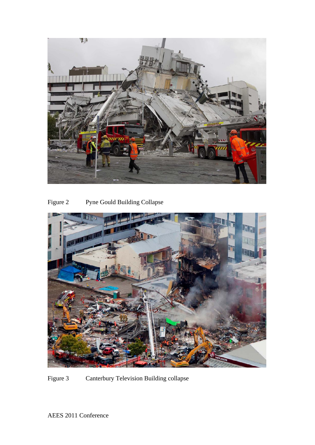

Figure 2 Pyne Gould Building Collapse



Figure 3 Canterbury Television Building collapse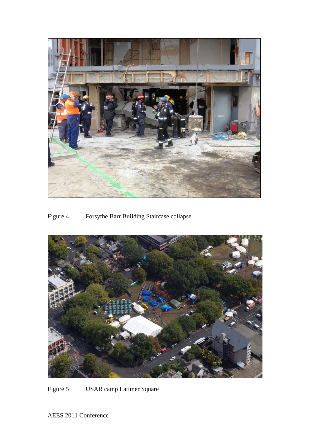

# Figure 4 Forsythe Barr Building Staircase collapse



Figure 5 USAR camp Latimer Square